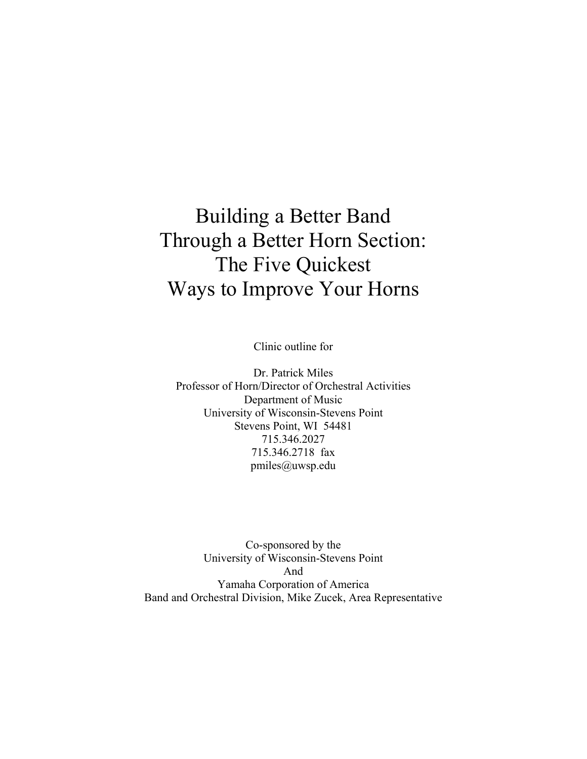# Building a Better Band Through a Better Horn Section: The Five Quickest Ways to Improve Your Horns

Clinic outline for

Dr. Patrick Miles Professor of Horn/Director of Orchestral Activities Department of Music University of Wisconsin-Stevens Point Stevens Point, WI 54481 715.346.2027 715.346.2718 fax pmiles@uwsp.edu

Co-sponsored by the University of Wisconsin-Stevens Point And Yamaha Corporation of America Band and Orchestral Division, Mike Zucek, Area Representative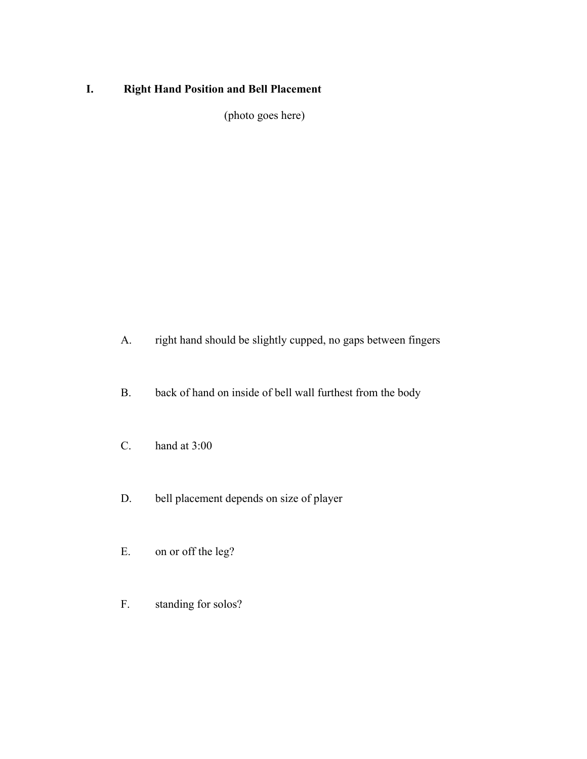### **I. Right Hand Position and Bell Placement**

(photo goes here)

- A. right hand should be slightly cupped, no gaps between fingers
- B. back of hand on inside of bell wall furthest from the body
- C. hand at 3:00
- D. bell placement depends on size of player
- E. on or off the leg?
- F. standing for solos?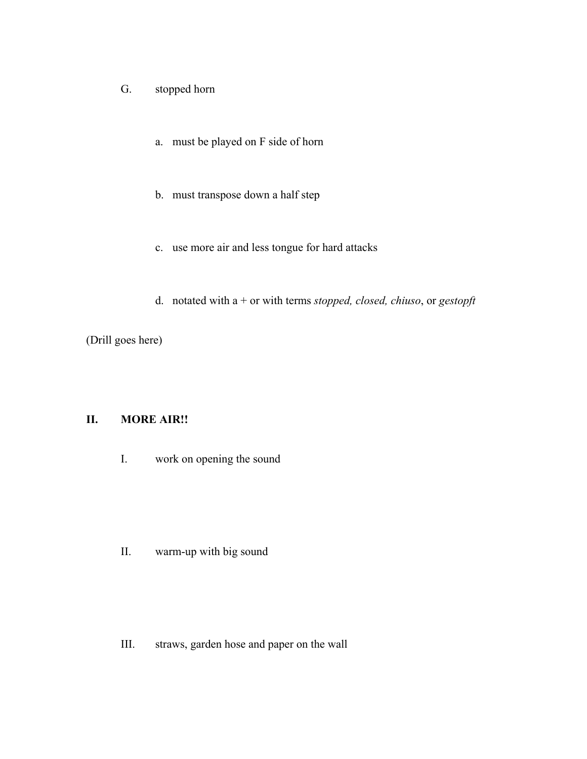- G. stopped horn
	- a. must be played on F side of horn
	- b. must transpose down a half step
	- c. use more air and less tongue for hard attacks
	- d. notated with a + or with terms *stopped, closed, chiuso*, or *gestopft*

(Drill goes here)

#### **II. MORE AIR!!**

I. work on opening the sound

II. warm-up with big sound

III. straws, garden hose and paper on the wall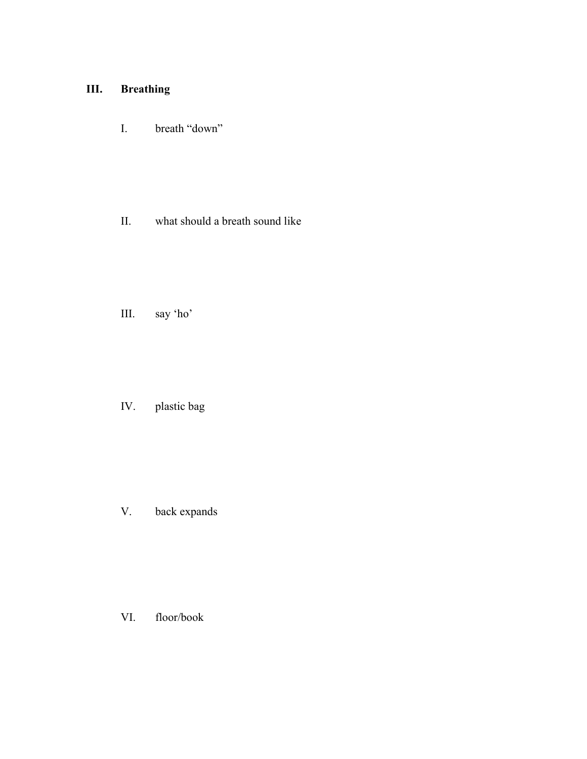# **III. Breathing**

I. breath "down"

II. what should a breath sound like

III. say 'ho'

IV. plastic bag

V. back expands

VI. floor/book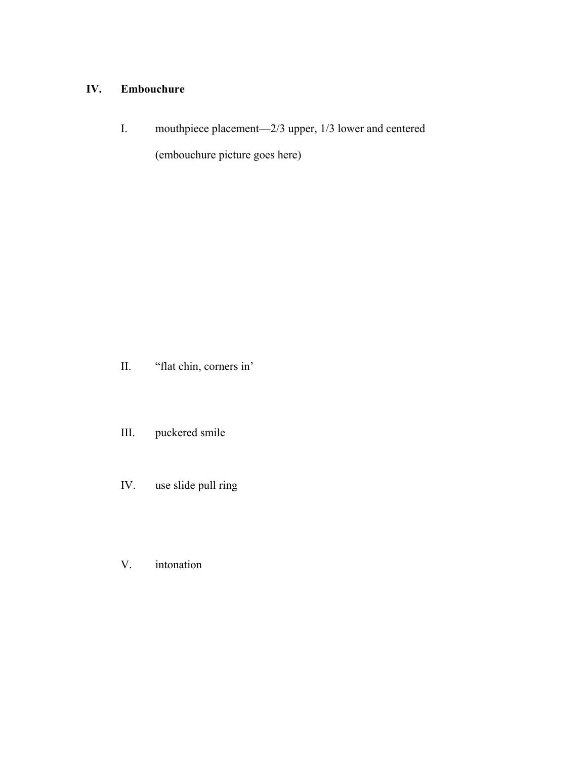#### **IV. Embouchure**

I. mouthpiece placement—2/3 upper, 1/3 lower and centered

(embouchure picture goes here)

II. "flat chin, corners in'

III. puckered smile

- IV. use slide pull ring
- V. intonation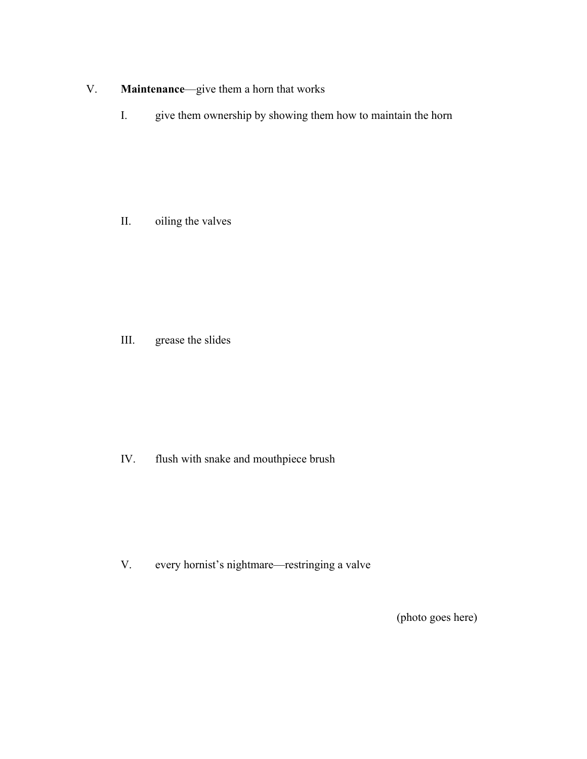#### V. **Maintenance**—give them a horn that works

I. give them ownership by showing them how to maintain the horn

II. oiling the valves

III. grease the slides

IV. flush with snake and mouthpiece brush

V. every hornist's nightmare—restringing a valve

(photo goes here)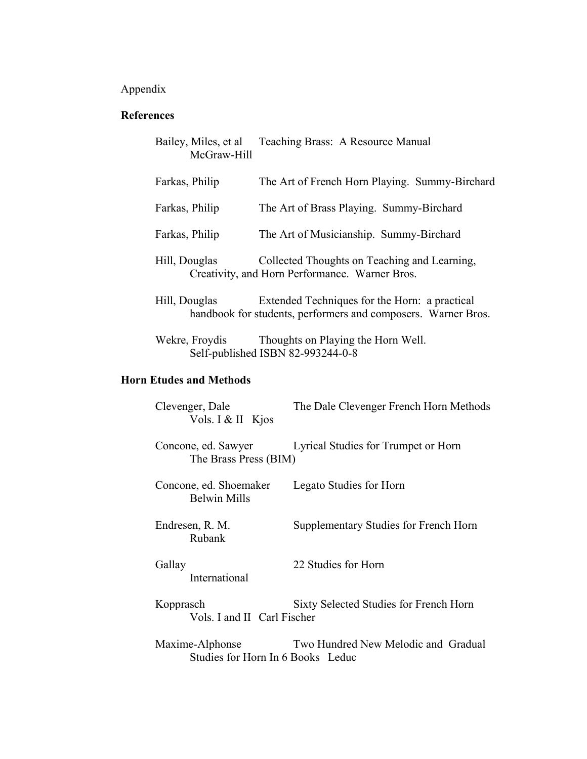# Appendix

#### **References**

| Bailey, Miles, et al<br>McGraw-Hill | Teaching Brass: A Resource Manual                                                                              |
|-------------------------------------|----------------------------------------------------------------------------------------------------------------|
| Farkas, Philip                      | The Art of French Horn Playing. Summy-Birchard                                                                 |
| Farkas, Philip                      | The Art of Brass Playing. Summy-Birchard                                                                       |
| Farkas, Philip                      | The Art of Musicianship. Summy-Birchard                                                                        |
| Hill, Douglas                       | Collected Thoughts on Teaching and Learning,<br>Creativity, and Horn Performance. Warner Bros.                 |
| Hill, Douglas                       | Extended Techniques for the Horn: a practical<br>handbook for students, performers and composers. Warner Bros. |
| Wekre, Froydis                      | Thoughts on Playing the Horn Well.<br>Self-published ISBN 82-993244-0-8                                        |

## **Horn Etudes and Methods**

| Clevenger, Dale<br>Vols. I & II Kjos                 | The Dale Clevenger French Horn Methods |
|------------------------------------------------------|----------------------------------------|
| Concone, ed. Sawyer<br>The Brass Press (BIM)         | Lyrical Studies for Trumpet or Horn    |
| Concone, ed. Shoemaker<br><b>Belwin Mills</b>        | Legato Studies for Horn                |
| Endresen, R. M.<br>Rubank                            | Supplementary Studies for French Horn  |
| Gallay<br>International                              | 22 Studies for Horn                    |
| Kopprasch<br>Vols. I and II Carl Fischer             | Sixty Selected Studies for French Horn |
| Maxime-Alphonse<br>Studies for Horn In 6 Books Leduc | Two Hundred New Melodic and Gradual    |